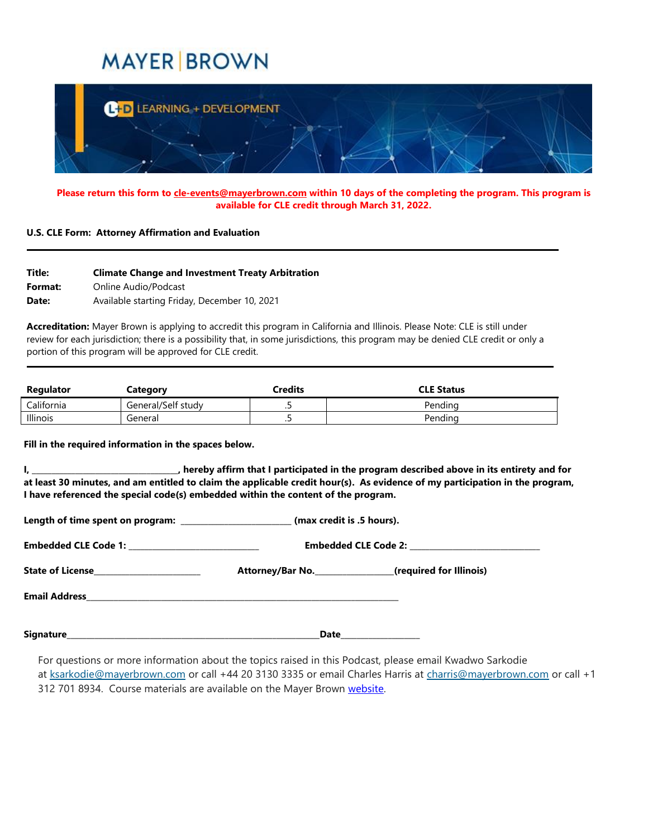## **MAYER BROWN**



**Please return this form to [cle-events@mayerbrown.com](mailto:cle-events@mayerbrown.com) within 10 days of the completing the program. This program is available for CLE credit through March 31, 2022.**

## **U.S. CLE Form: Attorney Affirmation and Evaluation**

| Title:  | <b>Climate Change and Investment Treaty Arbitration</b> |
|---------|---------------------------------------------------------|
| Format: | Online Audio/Podcast                                    |
| Date:   | Available starting Friday, December 10, 2021            |

**Accreditation:** Mayer Brown is applying to accredit this program in California and Illinois. Please Note: CLE is still under review for each jurisdiction; there is a possibility that, in some jurisdictions, this program may be denied CLE credit or only a portion of this program will be approved for CLE credit.

| Regulator       | Category           | Credits | <b>CLE Status</b> |
|-----------------|--------------------|---------|-------------------|
| California      | General/Self study | . .     | Pendina           |
| <b>Illinois</b> | General            | . .     | Pendina           |

**Fill in the required information in the spaces below.**

**I, \_\_\_\_\_\_\_\_\_\_\_\_\_\_\_\_\_\_\_\_\_\_\_\_\_\_\_\_\_\_\_\_\_\_\_\_\_, hereby affirm that I participated in the program described above in its entirety and for at least 30 minutes, and am entitled to claim the applicable credit hour(s). As evidence of my participation in the program, I have referenced the special code(s) embedded within the content of the program.**

|                                                  | Length of time spent on program: _______________________ (max credit is .5 hours). |                                                            |  |  |  |
|--------------------------------------------------|------------------------------------------------------------------------------------|------------------------------------------------------------|--|--|--|
| Embedded CLE Code 1: ___________________________ |                                                                                    |                                                            |  |  |  |
| State of License________________________         |                                                                                    | Attorney/Bar No. __________________(required for Illinois) |  |  |  |
|                                                  |                                                                                    |                                                            |  |  |  |
|                                                  |                                                                                    |                                                            |  |  |  |

For questions or more information about the topics raised in this Podcast, please email Kwadwo Sarkodie at [ksarkodie@mayerbrown.com](mailto:ksarkodie@mayerbrown.com?subject=International%20Arbitration%20%22Across%20the%20Pond%22%20podcast%20series%2C%20Episode%201) or call +44 20 3130 3335 or email Charles Harris at [charris@mayerbrown.com](mailto:charris@mayerbrown.com?subject=International%20Arbitration%20%22Across%20the%20Pond%22%20podcast%20series%2C%20Episode%201) or call +1 312 701 8934. Course materials are available on the Mayer Brown [website.](https://www.mayerbrown.com/en/perspectives-events)